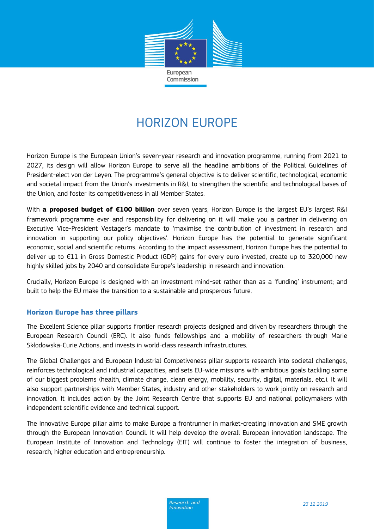

# HORIZON EUROPE

Horizon Europe is the European Union's seven-year research and innovation programme, running from 2021 to 2027, its design will allow Horizon Europe to serve all the headline ambitions of the Political Guidelines of President-elect von der Leyen. The programme's general objective is to deliver scientific, technological, economic and societal impact from the Union's investments in R&I, to strengthen the scientific and technological bases of the Union, and foster its competitiveness in all Member States.

With **a proposed budget of €100 billion** over seven years, Horizon Europe is the largest EU's largest R&I framework programme ever and responsibility for delivering on it will make you a partner in delivering on Executive Vice-President Vestager's mandate to 'maximise the contribution of investment in research and innovation in supporting our policy objectives'. Horizon Europe has the potential to generate significant economic, social and scientific returns. According to the impact assessment, Horizon Europe has the potential to deliver up to €11 in Gross Domestic Product (GDP) gains for every euro invested, create up to 320,000 new highly skilled jobs by 2040 and consolidate Europe's leadership in research and innovation.

Crucially, Horizon Europe is designed with an investment mind-set rather than as a 'funding' instrument; and built to help the EU make the transition to a sustainable and prosperous future.

## **Horizon Europe has three pillars**

The Excellent Science pillar supports frontier research projects designed and driven by researchers through the European Research Council (ERC). It also funds fellowships and a mobility of researchers through Marie Skłodowska-Curie Actions, and invests in world-class research infrastructures.

The Global Challenges and European Industrial Competiveness pillar supports research into societal challenges, reinforces technological and industrial capacities, and sets EU-wide missions with ambitious goals tackling some of our biggest problems (health, climate change, clean energy, mobility, security, digital, materials, etc.). It will also support partnerships with Member States, industry and other stakeholders to work jointly on research and innovation. It includes action by the Joint Research Centre that supports EU and national policymakers with independent scientific evidence and technical support.

The Innovative Europe pillar aims to make Europe a frontrunner in market-creating innovation and SME growth through the European Innovation Council. It will help develop the overall European innovation landscape. The European Institute of Innovation and Technology (EIT) will continue to foster the integration of business, research, higher education and entrepreneurship.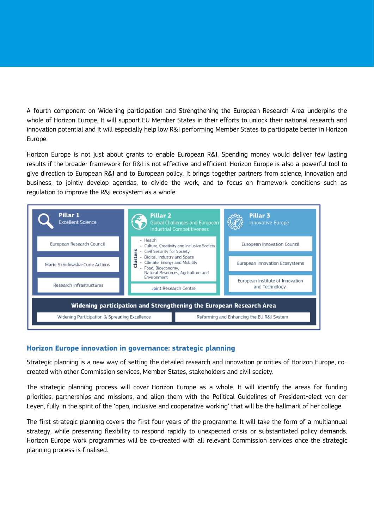A fourth component on Widening participation and Strengthening the European Research Area underpins the whole of Horizon Europe. It will support EU Member States in their efforts to unlock their national research and innovation potential and it will especially help low R&I performing Member States to participate better in Horizon Europe.

Horizon Europe is not just about grants to enable European R&I. Spending money would deliver few lasting results if the broader framework for R&I is not effective and efficient. Horizon Europe is also a powerful tool to give direction to European R&I and to European policy. It brings together partners from science, innovation and business, to jointly develop agendas, to divide the work, and to focus on framework conditions such as regulation to improve the R&I ecosystem as a whole.



# **Horizon Europe innovation in governance: strategic planning**

Strategic planning is a new way of setting the detailed research and innovation priorities of Horizon Europe, cocreated with other Commission services, Member States, stakeholders and civil society.

The strategic planning process will cover Horizon Europe as a whole. It will identify the areas for funding priorities, partnerships and missions, and align them with the Political Guidelines of President-elect von der Leyen, fully in the spirit of the 'open, inclusive and cooperative working' that will be the hallmark of her college.

The first strategic planning covers the first four years of the programme. It will take the form of a multiannual strategy, while preserving flexibility to respond rapidly to unexpected crisis or substantiated policy demands. Horizon Europe work programmes will be co-created with all relevant Commission services once the strategic planning process is finalised.